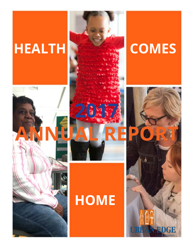



## **HOME**

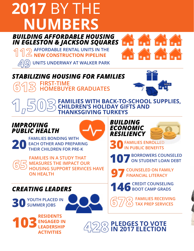## **2017** BY THE  **NUMBERS** *BUILDING AFFORDABLE HOUSING*



**FIRST-TIME**  *STABILIZING HOUSING FOR FAMILIES*

**AFFORDABLE RENTAL UNITS IN THE**  $\triangle$  NEW CONSTRUCTION PIPELINE

**HOMEBUYER GRADUATES**

**UNITS UNDERWAY AT WALKER PARK**



**FAMILIES WITH BACK-TO-SCHOOL SUPPLIES, DREN'S HOLIDAY GIFTS AND THANKSGIVING TURKEYS**

### *IMPROVING PUBLIC HEALTH*

**20FAMILIES BONDING WITH EACH OTHER AND PREPART THEIR CHILDREN FOR PRE-EACH OTHER AND PREPARING THEIR CHILDREN FOR PRE-K**



**FAMILIES IN A STUDY THAT MEASURES THE IMPACT OUR HOUSING SUPPORT SERVICES HAVE ON HEALTH**





**30FAMILIES ENROLLED IN PUBLIC BENEFITS**

**107 BORROWERS COUNSELED ON STUDENT LOAN DEBT**

**97 COUNSELED ON FAMILY FINANCIAL LITERACY**

**146 CREDIT COUNSELING BOOT CAMP GRADS**

**FAMILIES RECEIVING TAX PREP SERVICES**

**RESIDENTS ENGAGED IN LEADERSHIP ACTIVITIES**

**30 YOUTH PLACED IN SUMMER JOBS**

*CREATING LEADERS*

**PLEDGES TO VOTE 103 IN 2017 ELECTION**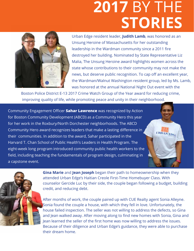## **2017** BY THE  **STORIES**



Urban Edge resident leader, **Judith Lamb**, was honored as an Unsung Heroine of Massachusetts for her outstanding leadership in the Wardman community since a 2011 fire destroyed her building. Nominated by State Representative Liz Malia, The Unsung Heroine award highlights women across the state whose contributions to their community may not make the news, but deserve public recognition. To cap off an excellent year, the Wardman/Walnut Washington resident group, led by Ms. Lamb, was honored at the annual National Night Out event with the

 $\overline{C\mathbf{RBAN}}\mathbf{E}\mathbf{D}\mathbf{G}$ 

Boston Police District E-13 2017 Crime Watch Group of the Year award for reducing crime, improving quality of life, while promoting peace and unity in their neighborhood.

Community Engagement Officer **Sahar Lawrence** was recognized by Action for Boston Community Development (ABCD) as a Community Hero this year for her work in the Roxbury/North Dorchester neighborhoods. The ABCD Community Hero award recognizes leaders that make a lasting difference in their communities. In addition to the award, Sahar participated in the Harvard T. Chan School of Public Health's Leaders in Health Program. The eight-week long program introduced community public health workers to the field, including teaching the fundamentals of program design, culminating in a capstone event.



**Gina Marie** and **Jean Joseph** began their path to homeownership when they attended Urban Edge's Haitian Creole First-Time Homebuyer Class. With counselor Gercide Luc by their side, the couple began following a budget, building credit, and reducing debt.

After months of work, the couple paired up with CUE Realty agent Sonia Alleyne. Sonia found the couple a house, with which they fell in love. Unfortunately, the house failed inspection. The seller was not willing to address the defects, so Gina and Jean walked away. After moving along to find new homes with Sonia, Gina and Jean learned the seller of the first home was now willing to address the issues. Because of their diligence and Urban Edge's guidance, they were able to purchase their dream home.